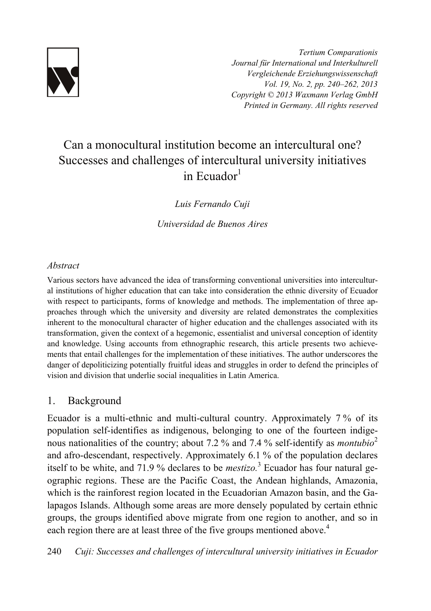

*Tertium Comparationis Journal für International und Interkulturell Vergleichende Erziehungswissenschaft Vol. 19, No. 2, pp. 240–262, 2013 Copyright © 2013 Waxmann Verlag GmbH Printed in Germany. All rights reserved*

# Can a monocultural institution become an intercultural one? Successes and challenges of intercultural university initiatives in Ecuador $<sup>1</sup>$ </sup>

*Luis Fernando Cuji* 

*Universidad de Buenos Aires*

## *Abstract*

Various sectors have advanced the idea of transforming conventional universities into intercultural institutions of higher education that can take into consideration the ethnic diversity of Ecuador with respect to participants, forms of knowledge and methods. The implementation of three approaches through which the university and diversity are related demonstrates the complexities inherent to the monocultural character of higher education and the challenges associated with its transformation, given the context of a hegemonic, essentialist and universal conception of identity and knowledge. Using accounts from ethnographic research, this article presents two achievements that entail challenges for the implementation of these initiatives. The author underscores the danger of depoliticizing potentially fruitful ideas and struggles in order to defend the principles of vision and division that underlie social inequalities in Latin America.

# 1. Background

Ecuador is a multi-ethnic and multi-cultural country. Approximately 7 % of its population self-identifies as indigenous, belonging to one of the fourteen indigenous nationalities of the country; about 7.2 % and 7.4 % self-identify as *montubio*<sup>2</sup> and afro-descendant, respectively. Approximately 6.1 % of the population declares itself to be white, and 71.9 % declares to be *mestizo*.<sup>3</sup> Ecuador has four natural geographic regions. These are the Pacific Coast, the Andean highlands, Amazonia, which is the rainforest region located in the Ecuadorian Amazon basin, and the Galapagos Islands. Although some areas are more densely populated by certain ethnic groups, the groups identified above migrate from one region to another, and so in each region there are at least three of the five groups mentioned above.<sup>4</sup>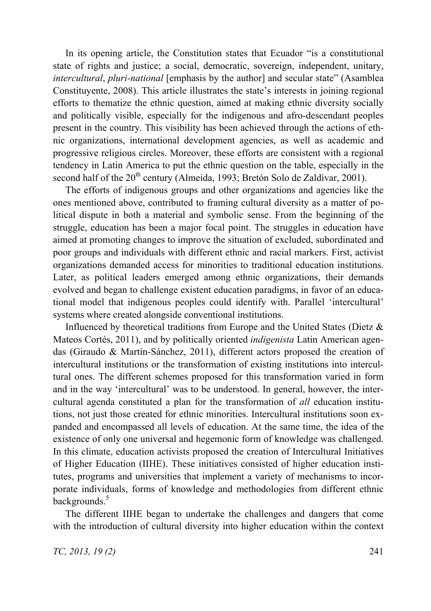In its opening article, the Constitution states that Ecuador "is a constitutional state of rights and justice; a social, democratic, sovereign, independent, unitary, *intercultural*, *pluri-national* [emphasis by the author] and secular state" (Asamblea Constituyente, 2008). This article illustrates the state's interests in joining regional efforts to thematize the ethnic question, aimed at making ethnic diversity socially and politically visible, especially for the indigenous and afro-descendant peoples present in the country. This visibility has been achieved through the actions of ethnic organizations, international development agencies, as well as academic and progressive religious circles. Moreover, these efforts are consistent with a regional tendency in Latin America to put the ethnic question on the table, especially in the second half of the 20<sup>th</sup> century (Almeida, 1993; Bretón Solo de Zaldívar, 2001).

The efforts of indigenous groups and other organizations and agencies like the ones mentioned above, contributed to framing cultural diversity as a matter of political dispute in both a material and symbolic sense. From the beginning of the struggle, education has been a major focal point. The struggles in education have aimed at promoting changes to improve the situation of excluded, subordinated and poor groups and individuals with different ethnic and racial markers. First, activist organizations demanded access for minorities to traditional education institutions. Later, as political leaders emerged among ethnic organizations, their demands evolved and began to challenge existent education paradigms, in favor of an educational model that indigenous peoples could identify with. Parallel 'intercultural' systems where created alongside conventional institutions.

Influenced by theoretical traditions from Europe and the United States (Dietz  $\&$ Mateos Cortés, 2011), and by politically oriented *indigenista* Latin American agendas (Giraudo & Martín-Sánchez, 2011), different actors proposed the creation of intercultural institutions or the transformation of existing institutions into intercultural ones. The different schemes proposed for this transformation varied in form and in the way 'intercultural' was to be understood. In general, however, the intercultural agenda constituted a plan for the transformation of *all* education institutions, not just those created for ethnic minorities. Intercultural institutions soon expanded and encompassed all levels of education. At the same time, the idea of the existence of only one universal and hegemonic form of knowledge was challenged. In this climate, education activists proposed the creation of Intercultural Initiatives of Higher Education (IIHE). These initiatives consisted of higher education institutes, programs and universities that implement a variety of mechanisms to incorporate individuals, forms of knowledge and methodologies from different ethnic backgrounds.<sup>5</sup>

The different IIHE began to undertake the challenges and dangers that come with the introduction of cultural diversity into higher education within the context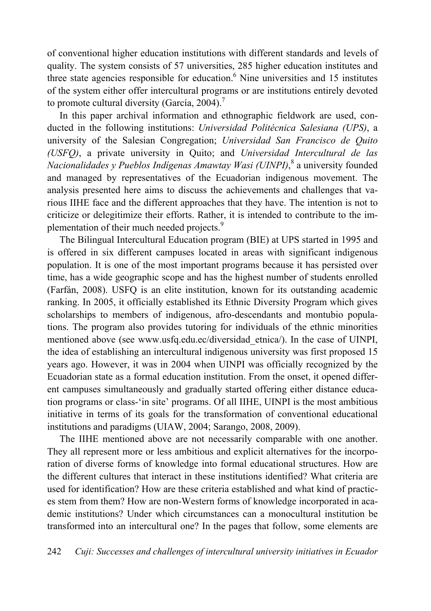of conventional higher education institutions with different standards and levels of quality. The system consists of 57 universities, 285 higher education institutes and three state agencies responsible for education.<sup>6</sup> Nine universities and 15 institutes of the system either offer intercultural programs or are institutions entirely devoted to promote cultural diversity (García, 2004).<sup>7</sup>

In this paper archival information and ethnographic fieldwork are used, conducted in the following institutions: *Universidad Politécnica Salesiana (UPS)*, a university of the Salesian Congregation; *Universidad San Francisco de Quito (USFQ)*, a private university in Quito; and *Universidad Intercultural de las Nacionalidades y Pueblos Indígenas Amawtay Wasi (UINPI)*, 8 a university founded and managed by representatives of the Ecuadorian indigenous movement. The analysis presented here aims to discuss the achievements and challenges that various IIHE face and the different approaches that they have. The intention is not to criticize or delegitimize their efforts. Rather, it is intended to contribute to the implementation of their much needed projects.<sup>9</sup>

The Bilingual Intercultural Education program (BIE) at UPS started in 1995 and is offered in six different campuses located in areas with significant indigenous population. It is one of the most important programs because it has persisted over time, has a wide geographic scope and has the highest number of students enrolled (Farfán, 2008). USFQ is an elite institution, known for its outstanding academic ranking. In 2005, it officially established its Ethnic Diversity Program which gives scholarships to members of indigenous, afro-descendants and montubio populations. The program also provides tutoring for individuals of the ethnic minorities mentioned above (see www.usfq.edu.ec/diversidad\_etnica/). In the case of UINPI, the idea of establishing an intercultural indigenous university was first proposed 15 years ago. However, it was in 2004 when UINPI was officially recognized by the Ecuadorian state as a formal education institution. From the onset, it opened different campuses simultaneously and gradually started offering either distance education programs or class-'in site' programs. Of all IIHE, UINPI is the most ambitious initiative in terms of its goals for the transformation of conventional educational institutions and paradigms (UIAW, 2004; Sarango, 2008, 2009).

The IIHE mentioned above are not necessarily comparable with one another. They all represent more or less ambitious and explicit alternatives for the incorporation of diverse forms of knowledge into formal educational structures. How are the different cultures that interact in these institutions identified? What criteria are used for identification? How are these criteria established and what kind of practices stem from them? How are non-Western forms of knowledge incorporated in academic institutions? Under which circumstances can a monocultural institution be transformed into an intercultural one? In the pages that follow, some elements are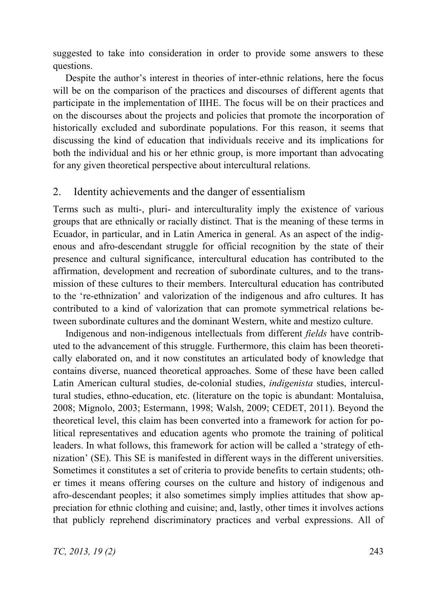suggested to take into consideration in order to provide some answers to these questions.

Despite the author's interest in theories of inter-ethnic relations, here the focus will be on the comparison of the practices and discourses of different agents that participate in the implementation of IIHE. The focus will be on their practices and on the discourses about the projects and policies that promote the incorporation of historically excluded and subordinate populations. For this reason, it seems that discussing the kind of education that individuals receive and its implications for both the individual and his or her ethnic group, is more important than advocating for any given theoretical perspective about intercultural relations.

## 2. Identity achievements and the danger of essentialism

Terms such as multi-, pluri- and interculturality imply the existence of various groups that are ethnically or racially distinct. That is the meaning of these terms in Ecuador, in particular, and in Latin America in general. As an aspect of the indigenous and afro-descendant struggle for official recognition by the state of their presence and cultural significance, intercultural education has contributed to the affirmation, development and recreation of subordinate cultures, and to the transmission of these cultures to their members. Intercultural education has contributed to the 're-ethnization' and valorization of the indigenous and afro cultures. It has contributed to a kind of valorization that can promote symmetrical relations between subordinate cultures and the dominant Western, white and mestizo culture.

Indigenous and non-indigenous intellectuals from different *fields* have contributed to the advancement of this struggle. Furthermore, this claim has been theoretically elaborated on, and it now constitutes an articulated body of knowledge that contains diverse, nuanced theoretical approaches. Some of these have been called Latin American cultural studies, de-colonial studies, *indigenista* studies, intercultural studies, ethno-education, etc. (literature on the topic is abundant: Montaluisa, 2008; Mignolo, 2003; Estermann, 1998; Walsh, 2009; CEDET, 2011). Beyond the theoretical level, this claim has been converted into a framework for action for political representatives and education agents who promote the training of political leaders. In what follows, this framework for action will be called a 'strategy of ethnization' (SE). This SE is manifested in different ways in the different universities. Sometimes it constitutes a set of criteria to provide benefits to certain students; other times it means offering courses on the culture and history of indigenous and afro-descendant peoples; it also sometimes simply implies attitudes that show appreciation for ethnic clothing and cuisine; and, lastly, other times it involves actions that publicly reprehend discriminatory practices and verbal expressions. All of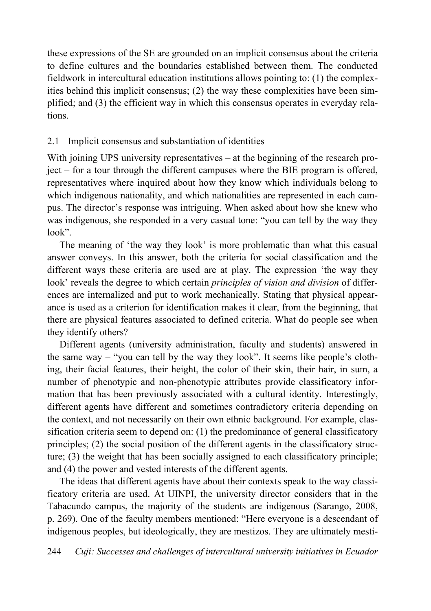these expressions of the SE are grounded on an implicit consensus about the criteria to define cultures and the boundaries established between them. The conducted fieldwork in intercultural education institutions allows pointing to: (1) the complexities behind this implicit consensus; (2) the way these complexities have been simplified; and (3) the efficient way in which this consensus operates in everyday relations.

## 2.1 Implicit consensus and substantiation of identities

With joining UPS university representatives – at the beginning of the research project – for a tour through the different campuses where the BIE program is offered, representatives where inquired about how they know which individuals belong to which indigenous nationality, and which nationalities are represented in each campus. The director's response was intriguing. When asked about how she knew who was indigenous, she responded in a very casual tone: "you can tell by the way they look".

The meaning of 'the way they look' is more problematic than what this casual answer conveys. In this answer, both the criteria for social classification and the different ways these criteria are used are at play. The expression 'the way they look' reveals the degree to which certain *principles of vision and division* of differences are internalized and put to work mechanically. Stating that physical appearance is used as a criterion for identification makes it clear, from the beginning, that there are physical features associated to defined criteria. What do people see when they identify others?

Different agents (university administration, faculty and students) answered in the same way – "you can tell by the way they look". It seems like people's clothing, their facial features, their height, the color of their skin, their hair, in sum, a number of phenotypic and non-phenotypic attributes provide classificatory information that has been previously associated with a cultural identity. Interestingly, different agents have different and sometimes contradictory criteria depending on the context, and not necessarily on their own ethnic background. For example, classification criteria seem to depend on: (1) the predominance of general classificatory principles; (2) the social position of the different agents in the classificatory structure; (3) the weight that has been socially assigned to each classificatory principle; and (4) the power and vested interests of the different agents.

The ideas that different agents have about their contexts speak to the way classificatory criteria are used. At UINPI, the university director considers that in the Tabacundo campus, the majority of the students are indigenous (Sarango, 2008, p. 269). One of the faculty members mentioned: "Here everyone is a descendant of indigenous peoples, but ideologically, they are mestizos. They are ultimately mesti-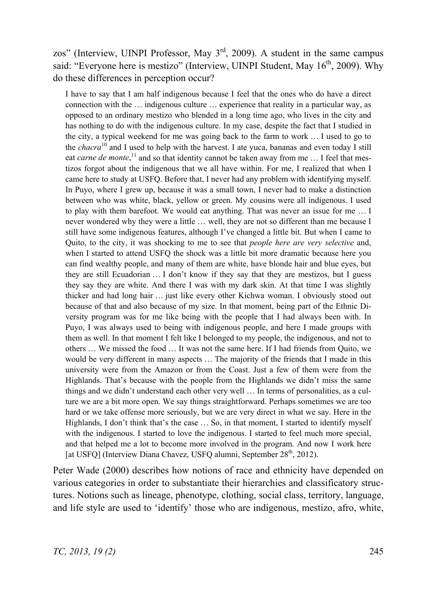zos" (Interview, UINPI Professor, May 3rd, 2009). A student in the same campus said: "Everyone here is mestizo" (Interview, UINPI Student, May 16<sup>th</sup>, 2009). Why do these differences in perception occur?

I have to say that I am half indigenous because I feel that the ones who do have a direct connection with the … indigenous culture … experience that reality in a particular way, as opposed to an ordinary mestizo who blended in a long time ago, who lives in the city and has nothing to do with the indigenous culture. In my case, despite the fact that I studied in the city, a typical weekend for me was going back to the farm to work … I used to go to the *chacra*10 and I used to help with the harvest. I ate yuca, bananas and even today I still eat *carne de monte*,<sup>11</sup> and so that identity cannot be taken away from me ... I feel that mestizos forgot about the indigenous that we all have within. For me, I realized that when I came here to study at USFQ. Before that, I never had any problem with identifying myself. In Puyo, where I grew up, because it was a small town, I never had to make a distinction between who was white, black, yellow or green. My cousins were all indigenous. I used to play with them barefoot. We would eat anything. That was never an issue for me … I never wondered why they were a little … well, they are not so different than me because I still have some indigenous features, although I've changed a little bit. But when I came to Quito, to the city, it was shocking to me to see that *people here are very selective* and, when I started to attend USFQ the shock was a little bit more dramatic because here you can find wealthy people, and many of them are white, have blonde hair and blue eyes, but they are still Ecuadorian … I don't know if they say that they are mestizos, but I guess they say they are white. And there I was with my dark skin. At that time I was slightly thicker and had long hair … just like every other Kichwa woman. I obviously stood out because of that and also because of my size. In that moment, being part of the Ethnic Diversity program was for me like being with the people that I had always been with. In Puyo, I was always used to being with indigenous people, and here I made groups with them as well. In that moment I felt like I belonged to my people, the indigenous, and not to others … We missed the food … It was not the same here. If I had friends from Quito, we would be very different in many aspects ... The majority of the friends that I made in this university were from the Amazon or from the Coast. Just a few of them were from the Highlands. That's because with the people from the Highlands we didn't miss the same things and we didn't understand each other very well … In terms of personalities, as a culture we are a bit more open. We say things straightforward. Perhaps sometimes we are too hard or we take offense more seriously, but we are very direct in what we say. Here in the Highlands, I don't think that's the case ... So, in that moment, I started to identify myself with the indigenous. I started to love the indigenous. I started to feel much more special, and that helped me a lot to become more involved in the program. And now I work here [at USFO] (Interview Diana Chavez, USFO alumni, September 28<sup>th</sup>, 2012).

Peter Wade (2000) describes how notions of race and ethnicity have depended on various categories in order to substantiate their hierarchies and classificatory structures. Notions such as lineage, phenotype, clothing, social class, territory, language, and life style are used to 'identify' those who are indigenous, mestizo, afro, white,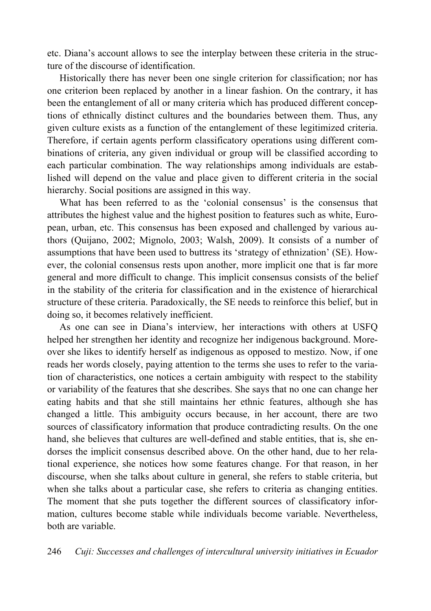etc. Diana's account allows to see the interplay between these criteria in the structure of the discourse of identification.

Historically there has never been one single criterion for classification; nor has one criterion been replaced by another in a linear fashion. On the contrary, it has been the entanglement of all or many criteria which has produced different conceptions of ethnically distinct cultures and the boundaries between them. Thus, any given culture exists as a function of the entanglement of these legitimized criteria. Therefore, if certain agents perform classificatory operations using different combinations of criteria, any given individual or group will be classified according to each particular combination. The way relationships among individuals are established will depend on the value and place given to different criteria in the social hierarchy. Social positions are assigned in this way.

What has been referred to as the 'colonial consensus' is the consensus that attributes the highest value and the highest position to features such as white, European, urban, etc. This consensus has been exposed and challenged by various authors (Quijano, 2002; Mignolo, 2003; Walsh, 2009). It consists of a number of assumptions that have been used to buttress its 'strategy of ethnization' (SE). However, the colonial consensus rests upon another, more implicit one that is far more general and more difficult to change. This implicit consensus consists of the belief in the stability of the criteria for classification and in the existence of hierarchical structure of these criteria. Paradoxically, the SE needs to reinforce this belief, but in doing so, it becomes relatively inefficient.

As one can see in Diana's interview, her interactions with others at USFQ helped her strengthen her identity and recognize her indigenous background. Moreover she likes to identify herself as indigenous as opposed to mestizo. Now, if one reads her words closely, paying attention to the terms she uses to refer to the variation of characteristics, one notices a certain ambiguity with respect to the stability or variability of the features that she describes. She says that no one can change her eating habits and that she still maintains her ethnic features, although she has changed a little. This ambiguity occurs because, in her account, there are two sources of classificatory information that produce contradicting results. On the one hand, she believes that cultures are well-defined and stable entities, that is, she endorses the implicit consensus described above. On the other hand, due to her relational experience, she notices how some features change. For that reason, in her discourse, when she talks about culture in general, she refers to stable criteria, but when she talks about a particular case, she refers to criteria as changing entities. The moment that she puts together the different sources of classificatory information, cultures become stable while individuals become variable. Nevertheless, both are variable.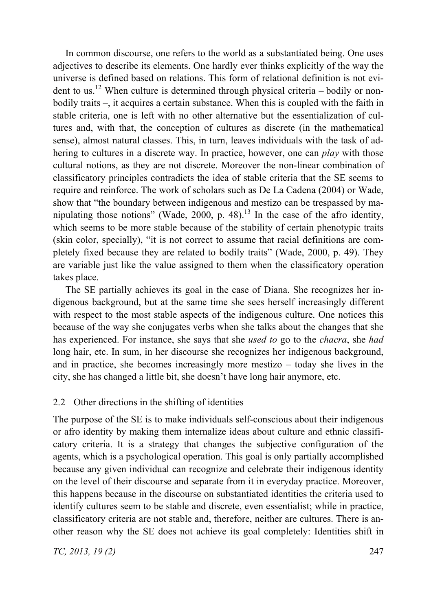In common discourse, one refers to the world as a substantiated being. One uses adjectives to describe its elements. One hardly ever thinks explicitly of the way the universe is defined based on relations. This form of relational definition is not evident to us.<sup>12</sup> When culture is determined through physical criteria – bodily or nonbodily traits –, it acquires a certain substance. When this is coupled with the faith in stable criteria, one is left with no other alternative but the essentialization of cultures and, with that, the conception of cultures as discrete (in the mathematical sense), almost natural classes. This, in turn, leaves individuals with the task of adhering to cultures in a discrete way. In practice, however, one can *play* with those cultural notions, as they are not discrete. Moreover the non-linear combination of classificatory principles contradicts the idea of stable criteria that the SE seems to require and reinforce. The work of scholars such as De La Cadena (2004) or Wade, show that "the boundary between indigenous and mestizo can be trespassed by manipulating those notions" (Wade, 2000, p. 48).<sup>13</sup> In the case of the afro identity, which seems to be more stable because of the stability of certain phenotypic traits (skin color, specially), "it is not correct to assume that racial definitions are completely fixed because they are related to bodily traits" (Wade, 2000, p. 49). They are variable just like the value assigned to them when the classificatory operation takes place.

The SE partially achieves its goal in the case of Diana. She recognizes her indigenous background, but at the same time she sees herself increasingly different with respect to the most stable aspects of the indigenous culture. One notices this because of the way she conjugates verbs when she talks about the changes that she has experienced. For instance, she says that she *used to* go to the *chacra*, she *had* long hair, etc. In sum, in her discourse she recognizes her indigenous background, and in practice, she becomes increasingly more mestizo – today she lives in the city, she has changed a little bit, she doesn't have long hair anymore, etc.

## 2.2 Other directions in the shifting of identities

The purpose of the SE is to make individuals self-conscious about their indigenous or afro identity by making them internalize ideas about culture and ethnic classificatory criteria. It is a strategy that changes the subjective configuration of the agents, which is a psychological operation. This goal is only partially accomplished because any given individual can recognize and celebrate their indigenous identity on the level of their discourse and separate from it in everyday practice. Moreover, this happens because in the discourse on substantiated identities the criteria used to identify cultures seem to be stable and discrete, even essentialist; while in practice, classificatory criteria are not stable and, therefore, neither are cultures. There is another reason why the SE does not achieve its goal completely: Identities shift in

*TC, 2013, 19 (2)* 247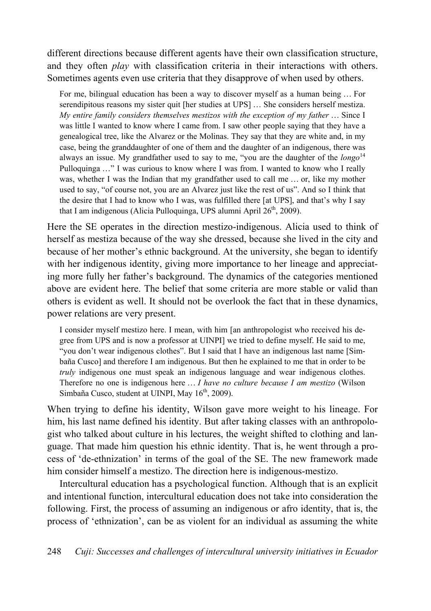different directions because different agents have their own classification structure, and they often *play* with classification criteria in their interactions with others. Sometimes agents even use criteria that they disapprove of when used by others.

For me, bilingual education has been a way to discover myself as a human being … For serendipitous reasons my sister quit [her studies at UPS] … She considers herself mestiza. *My entire family considers themselves mestizos with the exception of my father* … Since I was little I wanted to know where I came from. I saw other people saying that they have a genealogical tree, like the Alvarez or the Molinas. They say that they are white and, in my case, being the granddaughter of one of them and the daughter of an indigenous, there was always an issue. My grandfather used to say to me, "you are the daughter of the *longo*<sup>14</sup> Pulloquinga …" I was curious to know where I was from. I wanted to know who I really was, whether I was the Indian that my grandfather used to call me … or, like my mother used to say, "of course not, you are an Alvarez just like the rest of us". And so I think that the desire that I had to know who I was, was fulfilled there [at UPS], and that's why I say that I am indigenous (Alicia Pulloquinga, UPS alumni April  $26<sup>th</sup>$ , 2009).

Here the SE operates in the direction mestizo-indigenous. Alicia used to think of herself as mestiza because of the way she dressed, because she lived in the city and because of her mother's ethnic background. At the university, she began to identify with her indigenous identity, giving more importance to her lineage and appreciating more fully her father's background. The dynamics of the categories mentioned above are evident here. The belief that some criteria are more stable or valid than others is evident as well. It should not be overlook the fact that in these dynamics, power relations are very present.

I consider myself mestizo here. I mean, with him [an anthropologist who received his degree from UPS and is now a professor at UINPI] we tried to define myself. He said to me, "you don't wear indigenous clothes". But I said that I have an indigenous last name [Simbaña Cusco] and therefore I am indigenous. But then he explained to me that in order to be *truly* indigenous one must speak an indigenous language and wear indigenous clothes. Therefore no one is indigenous here … *I have no culture because I am mestizo* (Wilson Simbaña Cusco, student at UINPI, May 16<sup>th</sup>, 2009).

When trying to define his identity, Wilson gave more weight to his lineage. For him, his last name defined his identity. But after taking classes with an anthropologist who talked about culture in his lectures, the weight shifted to clothing and language. That made him question his ethnic identity. That is, he went through a process of 'de-ethnization' in terms of the goal of the SE. The new framework made him consider himself a mestizo. The direction here is indigenous-mestizo.

Intercultural education has a psychological function. Although that is an explicit and intentional function, intercultural education does not take into consideration the following. First, the process of assuming an indigenous or afro identity, that is, the process of 'ethnization', can be as violent for an individual as assuming the white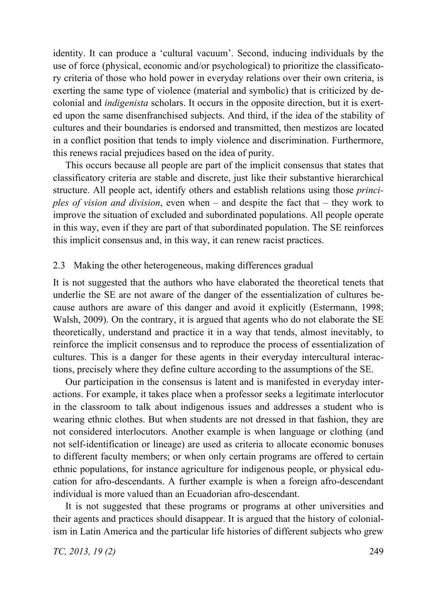identity. It can produce a 'cultural vacuum'. Second, inducing individuals by the use of force (physical, economic and/or psychological) to prioritize the classificatory criteria of those who hold power in everyday relations over their own criteria, is exerting the same type of violence (material and symbolic) that is criticized by decolonial and *indigenista* scholars. It occurs in the opposite direction, but it is exerted upon the same disenfranchised subjects. And third, if the idea of the stability of cultures and their boundaries is endorsed and transmitted, then mestizos are located in a conflict position that tends to imply violence and discrimination. Furthermore, this renews racial prejudices based on the idea of purity.

This occurs because all people are part of the implicit consensus that states that classificatory criteria are stable and discrete, just like their substantive hierarchical structure. All people act, identify others and establish relations using those *principles of vision and division*, even when – and despite the fact that – they work to improve the situation of excluded and subordinated populations. All people operate in this way, even if they are part of that subordinated population. The SE reinforces this implicit consensus and, in this way, it can renew racist practices.

#### 2.3 Making the other heterogeneous, making differences gradual

It is not suggested that the authors who have elaborated the theoretical tenets that underlie the SE are not aware of the danger of the essentialization of cultures because authors are aware of this danger and avoid it explicitly (Estermann, 1998; Walsh, 2009). On the contrary, it is argued that agents who do not elaborate the SE theoretically, understand and practice it in a way that tends, almost inevitably, to reinforce the implicit consensus and to reproduce the process of essentialization of cultures. This is a danger for these agents in their everyday intercultural interactions, precisely where they define culture according to the assumptions of the SE.

Our participation in the consensus is latent and is manifested in everyday interactions. For example, it takes place when a professor seeks a legitimate interlocutor in the classroom to talk about indigenous issues and addresses a student who is wearing ethnic clothes. But when students are not dressed in that fashion, they are not considered interlocutors. Another example is when language or clothing (and not self-identification or lineage) are used as criteria to allocate economic bonuses to different faculty members; or when only certain programs are offered to certain ethnic populations, for instance agriculture for indigenous people, or physical education for afro-descendants. A further example is when a foreign afro-descendant individual is more valued than an Ecuadorian afro-descendant.

It is not suggested that these programs or programs at other universities and their agents and practices should disappear. It is argued that the history of colonialism in Latin America and the particular life histories of different subjects who grew

*TC, 2013, 19 (2)* 249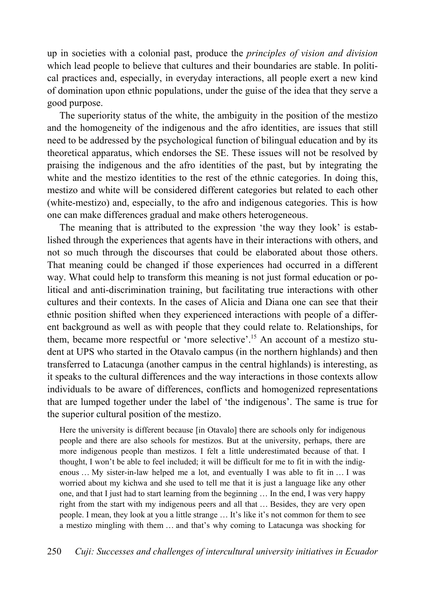up in societies with a colonial past, produce the *principles of vision and division* which lead people to believe that cultures and their boundaries are stable. In political practices and, especially, in everyday interactions, all people exert a new kind of domination upon ethnic populations, under the guise of the idea that they serve a good purpose.

The superiority status of the white, the ambiguity in the position of the mestizo and the homogeneity of the indigenous and the afro identities, are issues that still need to be addressed by the psychological function of bilingual education and by its theoretical apparatus, which endorses the SE. These issues will not be resolved by praising the indigenous and the afro identities of the past, but by integrating the white and the mestizo identities to the rest of the ethnic categories. In doing this, mestizo and white will be considered different categories but related to each other (white-mestizo) and, especially, to the afro and indigenous categories. This is how one can make differences gradual and make others heterogeneous.

The meaning that is attributed to the expression 'the way they look' is established through the experiences that agents have in their interactions with others, and not so much through the discourses that could be elaborated about those others. That meaning could be changed if those experiences had occurred in a different way. What could help to transform this meaning is not just formal education or political and anti-discrimination training, but facilitating true interactions with other cultures and their contexts. In the cases of Alicia and Diana one can see that their ethnic position shifted when they experienced interactions with people of a different background as well as with people that they could relate to. Relationships, for them, became more respectful or 'more selective'.15 An account of a mestizo student at UPS who started in the Otavalo campus (in the northern highlands) and then transferred to Latacunga (another campus in the central highlands) is interesting, as it speaks to the cultural differences and the way interactions in those contexts allow individuals to be aware of differences, conflicts and homogenized representations that are lumped together under the label of 'the indigenous'. The same is true for the superior cultural position of the mestizo.

Here the university is different because [in Otavalo] there are schools only for indigenous people and there are also schools for mestizos. But at the university, perhaps, there are more indigenous people than mestizos. I felt a little underestimated because of that. I thought, I won't be able to feel included; it will be difficult for me to fit in with the indigenous … My sister-in-law helped me a lot, and eventually I was able to fit in … I was worried about my kichwa and she used to tell me that it is just a language like any other one, and that I just had to start learning from the beginning … In the end, I was very happy right from the start with my indigenous peers and all that … Besides, they are very open people. I mean, they look at you a little strange … It's like it's not common for them to see a mestizo mingling with them … and that's why coming to Latacunga was shocking for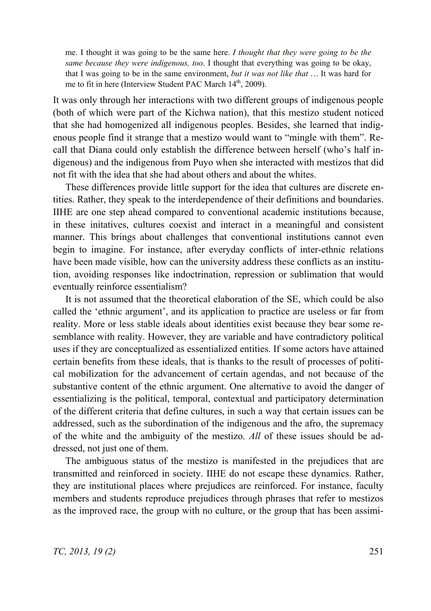me. I thought it was going to be the same here. *I thought that they were going to be the same because they were indigenous, too*. I thought that everything was going to be okay, that I was going to be in the same environment, *but it was not like that* … It was hard for me to fit in here (Interview Student PAC March 14<sup>th</sup>, 2009).

It was only through her interactions with two different groups of indigenous people (both of which were part of the Kichwa nation), that this mestizo student noticed that she had homogenized all indigenous peoples. Besides, she learned that indigenous people find it strange that a mestizo would want to "mingle with them". Recall that Diana could only establish the difference between herself (who's half indigenous) and the indigenous from Puyo when she interacted with mestizos that did not fit with the idea that she had about others and about the whites.

These differences provide little support for the idea that cultures are discrete entities. Rather, they speak to the interdependence of their definitions and boundaries. IIHE are one step ahead compared to conventional academic institutions because, in these initatives, cultures coexist and interact in a meaningful and consistent manner. This brings about challenges that conventional institutions cannot even begin to imagine. For instance, after everyday conflicts of inter-ethnic relations have been made visible, how can the university address these conflicts as an institution, avoiding responses like indoctrination, repression or sublimation that would eventually reinforce essentialism?

It is not assumed that the theoretical elaboration of the SE, which could be also called the 'ethnic argument', and its application to practice are useless or far from reality. More or less stable ideals about identities exist because they bear some resemblance with reality. However, they are variable and have contradictory political uses if they are conceptualized as essentialized entities. If some actors have attained certain benefits from these ideals, that is thanks to the result of processes of political mobilization for the advancement of certain agendas, and not because of the substantive content of the ethnic argument. One alternative to avoid the danger of essentializing is the political, temporal, contextual and participatory determination of the different criteria that define cultures, in such a way that certain issues can be addressed, such as the subordination of the indigenous and the afro, the supremacy of the white and the ambiguity of the mestizo. *All* of these issues should be addressed, not just one of them.

The ambiguous status of the mestizo is manifested in the prejudices that are transmitted and reinforced in society. IIHE do not escape these dynamics. Rather, they are institutional places where prejudices are reinforced. For instance, faculty members and students reproduce prejudices through phrases that refer to mestizos as the improved race, the group with no culture, or the group that has been assimi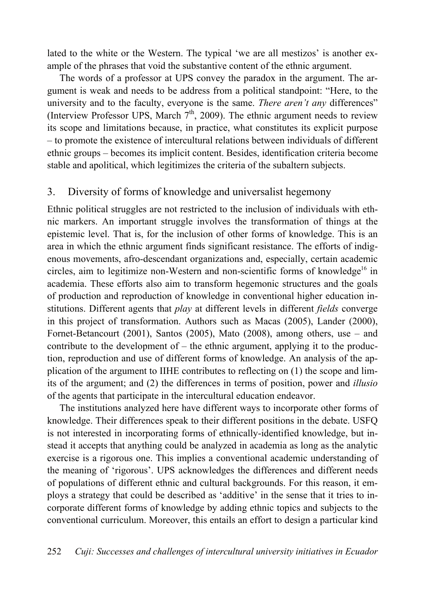lated to the white or the Western. The typical 'we are all mestizos' is another example of the phrases that void the substantive content of the ethnic argument.

The words of a professor at UPS convey the paradox in the argument. The argument is weak and needs to be address from a political standpoint: "Here, to the university and to the faculty, everyone is the same. *There aren't any* differences" (Interview Professor UPS, March  $7<sup>th</sup>$ , 2009). The ethnic argument needs to review its scope and limitations because, in practice, what constitutes its explicit purpose – to promote the existence of intercultural relations between individuals of different ethnic groups – becomes its implicit content. Besides, identification criteria become stable and apolitical, which legitimizes the criteria of the subaltern subjects.

## 3. Diversity of forms of knowledge and universalist hegemony

Ethnic political struggles are not restricted to the inclusion of individuals with ethnic markers. An important struggle involves the transformation of things at the epistemic level. That is, for the inclusion of other forms of knowledge. This is an area in which the ethnic argument finds significant resistance. The efforts of indigenous movements, afro-descendant organizations and, especially, certain academic circles, aim to legitimize non-Western and non-scientific forms of knowledge<sup>16</sup> in academia. These efforts also aim to transform hegemonic structures and the goals of production and reproduction of knowledge in conventional higher education institutions. Different agents that *play* at different levels in different *fields* converge in this project of transformation. Authors such as Macas (2005), Lander (2000), Fornet-Betancourt (2001), Santos (2005), Mato (2008), among others, use – and contribute to the development of – the ethnic argument, applying it to the production, reproduction and use of different forms of knowledge. An analysis of the application of the argument to IIHE contributes to reflecting on (1) the scope and limits of the argument; and (2) the differences in terms of position, power and *illusio* of the agents that participate in the intercultural education endeavor.

The institutions analyzed here have different ways to incorporate other forms of knowledge. Their differences speak to their different positions in the debate. USFQ is not interested in incorporating forms of ethnically-identified knowledge, but instead it accepts that anything could be analyzed in academia as long as the analytic exercise is a rigorous one. This implies a conventional academic understanding of the meaning of 'rigorous'. UPS acknowledges the differences and different needs of populations of different ethnic and cultural backgrounds. For this reason, it employs a strategy that could be described as 'additive' in the sense that it tries to incorporate different forms of knowledge by adding ethnic topics and subjects to the conventional curriculum. Moreover, this entails an effort to design a particular kind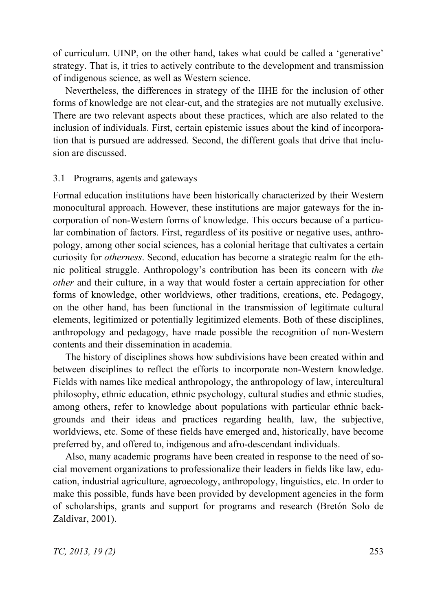of curriculum. UINP, on the other hand, takes what could be called a 'generative' strategy. That is, it tries to actively contribute to the development and transmission of indigenous science, as well as Western science.

Nevertheless, the differences in strategy of the IIHE for the inclusion of other forms of knowledge are not clear-cut, and the strategies are not mutually exclusive. There are two relevant aspects about these practices, which are also related to the inclusion of individuals. First, certain epistemic issues about the kind of incorporation that is pursued are addressed. Second, the different goals that drive that inclusion are discussed.

#### 3.1 Programs, agents and gateways

Formal education institutions have been historically characterized by their Western monocultural approach. However, these institutions are major gateways for the incorporation of non-Western forms of knowledge. This occurs because of a particular combination of factors. First, regardless of its positive or negative uses, anthropology, among other social sciences, has a colonial heritage that cultivates a certain curiosity for *otherness*. Second, education has become a strategic realm for the ethnic political struggle. Anthropology's contribution has been its concern with *the other* and their culture, in a way that would foster a certain appreciation for other forms of knowledge, other worldviews, other traditions, creations, etc. Pedagogy, on the other hand, has been functional in the transmission of legitimate cultural elements, legitimized or potentially legitimized elements. Both of these disciplines, anthropology and pedagogy, have made possible the recognition of non-Western contents and their dissemination in academia.

The history of disciplines shows how subdivisions have been created within and between disciplines to reflect the efforts to incorporate non-Western knowledge. Fields with names like medical anthropology, the anthropology of law, intercultural philosophy, ethnic education, ethnic psychology, cultural studies and ethnic studies, among others, refer to knowledge about populations with particular ethnic backgrounds and their ideas and practices regarding health, law, the subjective, worldviews, etc. Some of these fields have emerged and, historically, have become preferred by, and offered to, indigenous and afro-descendant individuals.

Also, many academic programs have been created in response to the need of social movement organizations to professionalize their leaders in fields like law, education, industrial agriculture, agroecology, anthropology, linguistics, etc. In order to make this possible, funds have been provided by development agencies in the form of scholarships, grants and support for programs and research (Bretón Solo de Zaldívar, 2001).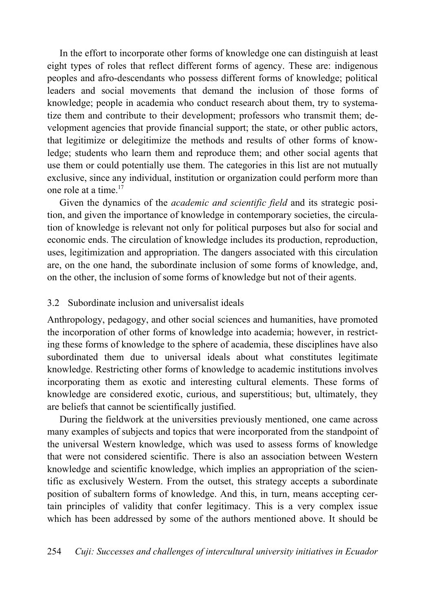In the effort to incorporate other forms of knowledge one can distinguish at least eight types of roles that reflect different forms of agency. These are: indigenous peoples and afro-descendants who possess different forms of knowledge; political leaders and social movements that demand the inclusion of those forms of knowledge; people in academia who conduct research about them, try to systematize them and contribute to their development; professors who transmit them; development agencies that provide financial support; the state, or other public actors, that legitimize or delegitimize the methods and results of other forms of knowledge; students who learn them and reproduce them; and other social agents that use them or could potentially use them. The categories in this list are not mutually exclusive, since any individual, institution or organization could perform more than one role at a time.<sup>17</sup>

Given the dynamics of the *academic and scientific field* and its strategic position, and given the importance of knowledge in contemporary societies, the circulation of knowledge is relevant not only for political purposes but also for social and economic ends. The circulation of knowledge includes its production, reproduction, uses, legitimization and appropriation. The dangers associated with this circulation are, on the one hand, the subordinate inclusion of some forms of knowledge, and, on the other, the inclusion of some forms of knowledge but not of their agents.

### 3.2 Subordinate inclusion and universalist ideals

Anthropology, pedagogy, and other social sciences and humanities, have promoted the incorporation of other forms of knowledge into academia; however, in restricting these forms of knowledge to the sphere of academia, these disciplines have also subordinated them due to universal ideals about what constitutes legitimate knowledge. Restricting other forms of knowledge to academic institutions involves incorporating them as exotic and interesting cultural elements. These forms of knowledge are considered exotic, curious, and superstitious; but, ultimately, they are beliefs that cannot be scientifically justified.

During the fieldwork at the universities previously mentioned, one came across many examples of subjects and topics that were incorporated from the standpoint of the universal Western knowledge, which was used to assess forms of knowledge that were not considered scientific. There is also an association between Western knowledge and scientific knowledge, which implies an appropriation of the scientific as exclusively Western. From the outset, this strategy accepts a subordinate position of subaltern forms of knowledge. And this, in turn, means accepting certain principles of validity that confer legitimacy. This is a very complex issue which has been addressed by some of the authors mentioned above. It should be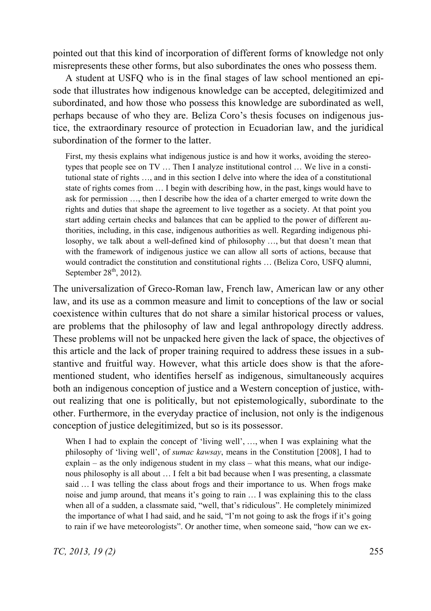pointed out that this kind of incorporation of different forms of knowledge not only misrepresents these other forms, but also subordinates the ones who possess them.

A student at USFQ who is in the final stages of law school mentioned an episode that illustrates how indigenous knowledge can be accepted, delegitimized and subordinated, and how those who possess this knowledge are subordinated as well, perhaps because of who they are. Beliza Coro's thesis focuses on indigenous justice, the extraordinary resource of protection in Ecuadorian law, and the juridical subordination of the former to the latter.

First, my thesis explains what indigenous justice is and how it works, avoiding the stereotypes that people see on TV … Then I analyze institutional control … We live in a constitutional state of rights …, and in this section I delve into where the idea of a constitutional state of rights comes from … I begin with describing how, in the past, kings would have to ask for permission …, then I describe how the idea of a charter emerged to write down the rights and duties that shape the agreement to live together as a society. At that point you start adding certain checks and balances that can be applied to the power of different authorities, including, in this case, indigenous authorities as well. Regarding indigenous philosophy, we talk about a well-defined kind of philosophy …, but that doesn't mean that with the framework of indigenous justice we can allow all sorts of actions, because that would contradict the constitution and constitutional rights … (Beliza Coro, USFQ alumni, September  $28<sup>th</sup>$ , 2012).

The universalization of Greco-Roman law, French law, American law or any other law, and its use as a common measure and limit to conceptions of the law or social coexistence within cultures that do not share a similar historical process or values, are problems that the philosophy of law and legal anthropology directly address. These problems will not be unpacked here given the lack of space, the objectives of this article and the lack of proper training required to address these issues in a substantive and fruitful way. However, what this article does show is that the aforementioned student, who identifies herself as indigenous, simultaneously acquires both an indigenous conception of justice and a Western conception of justice, without realizing that one is politically, but not epistemologically, subordinate to the other. Furthermore, in the everyday practice of inclusion, not only is the indigenous conception of justice delegitimized, but so is its possessor.

When I had to explain the concept of 'living well', …, when I was explaining what the philosophy of 'living well', of *sumac kawsay*, means in the Constitution [2008], I had to explain – as the only indigenous student in my class – what this means, what our indigenous philosophy is all about … I felt a bit bad because when I was presenting, a classmate said … I was telling the class about frogs and their importance to us. When frogs make noise and jump around, that means it's going to rain … I was explaining this to the class when all of a sudden, a classmate said, "well, that's ridiculous". He completely minimized the importance of what I had said, and he said, "I'm not going to ask the frogs if it's going to rain if we have meteorologists". Or another time, when someone said, "how can we ex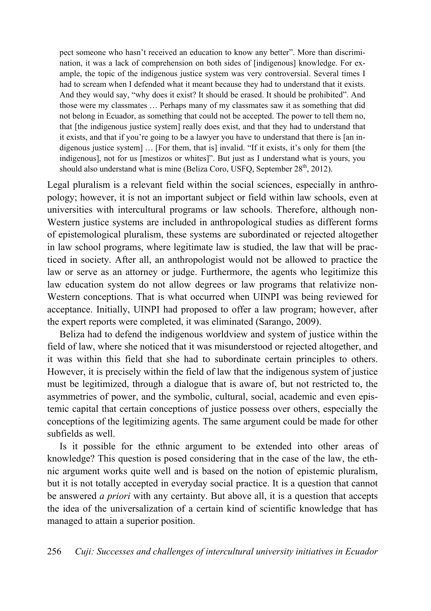pect someone who hasn't received an education to know any better". More than discrimination, it was a lack of comprehension on both sides of [indigenous] knowledge. For example, the topic of the indigenous justice system was very controversial. Several times I had to scream when I defended what it meant because they had to understand that it exists. And they would say, "why does it exist? It should be erased. It should be prohibited". And those were my classmates … Perhaps many of my classmates saw it as something that did not belong in Ecuador, as something that could not be accepted. The power to tell them no, that [the indigenous justice system] really does exist, and that they had to understand that it exists, and that if you're going to be a lawyer you have to understand that there is [an indigenous justice system] … [For them, that is] invalid. "If it exists, it's only for them [the indigenous], not for us [mestizos or whites]". But just as I understand what is yours, you should also understand what is mine (Beliza Coro, USFO, September  $28<sup>th</sup>$ , 2012).

Legal pluralism is a relevant field within the social sciences, especially in anthropology; however, it is not an important subject or field within law schools, even at universities with intercultural programs or law schools. Therefore, although non-Western justice systems are included in anthropological studies as different forms of epistemological pluralism, these systems are subordinated or rejected altogether in law school programs, where legitimate law is studied, the law that will be practiced in society. After all, an anthropologist would not be allowed to practice the law or serve as an attorney or judge. Furthermore, the agents who legitimize this law education system do not allow degrees or law programs that relativize non-Western conceptions. That is what occurred when UINPI was being reviewed for acceptance. Initially, UINPI had proposed to offer a law program; however, after the expert reports were completed, it was eliminated (Sarango, 2009).

Beliza had to defend the indigenous worldview and system of justice within the field of law, where she noticed that it was misunderstood or rejected altogether, and it was within this field that she had to subordinate certain principles to others. However, it is precisely within the field of law that the indigenous system of justice must be legitimized, through a dialogue that is aware of, but not restricted to, the asymmetries of power, and the symbolic, cultural, social, academic and even epistemic capital that certain conceptions of justice possess over others, especially the conceptions of the legitimizing agents. The same argument could be made for other subfields as well.

Is it possible for the ethnic argument to be extended into other areas of knowledge? This question is posed considering that in the case of the law, the ethnic argument works quite well and is based on the notion of epistemic pluralism, but it is not totally accepted in everyday social practice. It is a question that cannot be answered *a priori* with any certainty. But above all, it is a question that accepts the idea of the universalization of a certain kind of scientific knowledge that has managed to attain a superior position.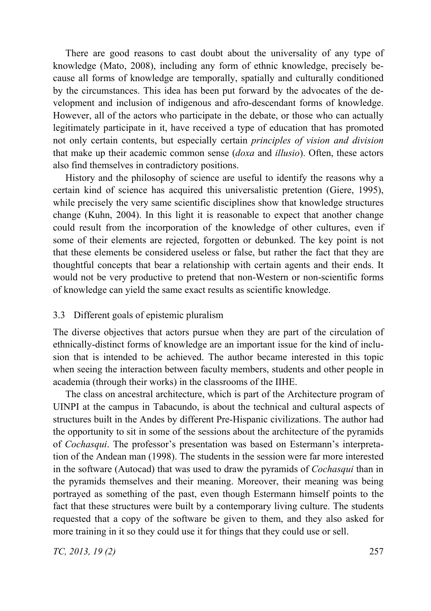There are good reasons to cast doubt about the universality of any type of knowledge (Mato, 2008), including any form of ethnic knowledge, precisely because all forms of knowledge are temporally, spatially and culturally conditioned by the circumstances. This idea has been put forward by the advocates of the development and inclusion of indigenous and afro-descendant forms of knowledge. However, all of the actors who participate in the debate, or those who can actually legitimately participate in it, have received a type of education that has promoted not only certain contents, but especially certain *principles of vision and division* that make up their academic common sense (*doxa* and *illusio*). Often, these actors also find themselves in contradictory positions.

History and the philosophy of science are useful to identify the reasons why a certain kind of science has acquired this universalistic pretention (Giere, 1995), while precisely the very same scientific disciplines show that knowledge structures change (Kuhn, 2004). In this light it is reasonable to expect that another change could result from the incorporation of the knowledge of other cultures, even if some of their elements are rejected, forgotten or debunked. The key point is not that these elements be considered useless or false, but rather the fact that they are thoughtful concepts that bear a relationship with certain agents and their ends. It would not be very productive to pretend that non-Western or non-scientific forms of knowledge can yield the same exact results as scientific knowledge.

#### 3.3 Different goals of epistemic pluralism

The diverse objectives that actors pursue when they are part of the circulation of ethnically-distinct forms of knowledge are an important issue for the kind of inclusion that is intended to be achieved. The author became interested in this topic when seeing the interaction between faculty members, students and other people in academia (through their works) in the classrooms of the IIHE.

The class on ancestral architecture, which is part of the Architecture program of UINPI at the campus in Tabacundo, is about the technical and cultural aspects of structures built in the Andes by different Pre-Hispanic civilizations. The author had the opportunity to sit in some of the sessions about the architecture of the pyramids of *Cochasqui*. The professor's presentation was based on Estermann's interpretation of the Andean man (1998). The students in the session were far more interested in the software (Autocad) that was used to draw the pyramids of *Cochasqui* than in the pyramids themselves and their meaning. Moreover, their meaning was being portrayed as something of the past, even though Estermann himself points to the fact that these structures were built by a contemporary living culture. The students requested that a copy of the software be given to them, and they also asked for more training in it so they could use it for things that they could use or sell.

*TC, 2013, 19 (2)* 257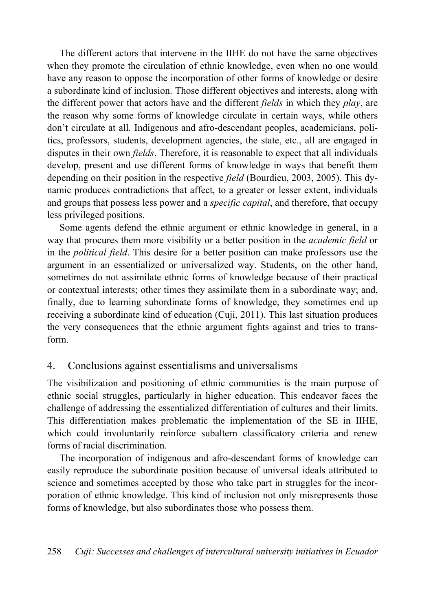The different actors that intervene in the IIHE do not have the same objectives when they promote the circulation of ethnic knowledge, even when no one would have any reason to oppose the incorporation of other forms of knowledge or desire a subordinate kind of inclusion. Those different objectives and interests, along with the different power that actors have and the different *fields* in which they *play*, are the reason why some forms of knowledge circulate in certain ways, while others don't circulate at all. Indigenous and afro-descendant peoples, academicians, politics, professors, students, development agencies, the state, etc., all are engaged in disputes in their own *fields*. Therefore, it is reasonable to expect that all individuals develop, present and use different forms of knowledge in ways that benefit them depending on their position in the respective *field* (Bourdieu, 2003, 2005). This dynamic produces contradictions that affect, to a greater or lesser extent, individuals and groups that possess less power and a *specific capital*, and therefore, that occupy less privileged positions.

Some agents defend the ethnic argument or ethnic knowledge in general, in a way that procures them more visibility or a better position in the *academic field* or in the *political field*. This desire for a better position can make professors use the argument in an essentialized or universalized way. Students, on the other hand, sometimes do not assimilate ethnic forms of knowledge because of their practical or contextual interests; other times they assimilate them in a subordinate way; and, finally, due to learning subordinate forms of knowledge, they sometimes end up receiving a subordinate kind of education (Cuji, 2011). This last situation produces the very consequences that the ethnic argument fights against and tries to transform.

# 4. Conclusions against essentialisms and universalisms

The visibilization and positioning of ethnic communities is the main purpose of ethnic social struggles, particularly in higher education. This endeavor faces the challenge of addressing the essentialized differentiation of cultures and their limits. This differentiation makes problematic the implementation of the SE in IIHE, which could involuntarily reinforce subaltern classificatory criteria and renew forms of racial discrimination.

The incorporation of indigenous and afro-descendant forms of knowledge can easily reproduce the subordinate position because of universal ideals attributed to science and sometimes accepted by those who take part in struggles for the incorporation of ethnic knowledge. This kind of inclusion not only misrepresents those forms of knowledge, but also subordinates those who possess them.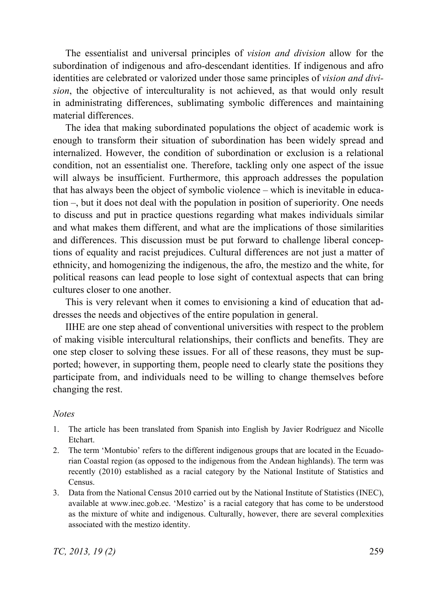The essentialist and universal principles of *vision and division* allow for the subordination of indigenous and afro-descendant identities. If indigenous and afro identities are celebrated or valorized under those same principles of *vision and division*, the objective of interculturality is not achieved, as that would only result in administrating differences, sublimating symbolic differences and maintaining material differences.

The idea that making subordinated populations the object of academic work is enough to transform their situation of subordination has been widely spread and internalized. However, the condition of subordination or exclusion is a relational condition, not an essentialist one. Therefore, tackling only one aspect of the issue will always be insufficient. Furthermore, this approach addresses the population that has always been the object of symbolic violence – which is inevitable in education –, but it does not deal with the population in position of superiority. One needs to discuss and put in practice questions regarding what makes individuals similar and what makes them different, and what are the implications of those similarities and differences. This discussion must be put forward to challenge liberal conceptions of equality and racist prejudices. Cultural differences are not just a matter of ethnicity, and homogenizing the indigenous, the afro, the mestizo and the white, for political reasons can lead people to lose sight of contextual aspects that can bring cultures closer to one another.

This is very relevant when it comes to envisioning a kind of education that addresses the needs and objectives of the entire population in general.

IIHE are one step ahead of conventional universities with respect to the problem of making visible intercultural relationships, their conflicts and benefits. They are one step closer to solving these issues. For all of these reasons, they must be supported; however, in supporting them, people need to clearly state the positions they participate from, and individuals need to be willing to change themselves before changing the rest.

#### *Notes*

- 1. The article has been translated from Spanish into English by Javier Rodríguez and Nicolle Etchart.
- 2. The term 'Montubio' refers to the different indigenous groups that are located in the Ecuadorian Coastal region (as opposed to the indigenous from the Andean highlands). The term was recently (2010) established as a racial category by the National Institute of Statistics and Census.
- 3. Data from the National Census 2010 carried out by the National Institute of Statistics (INEC), available at www.inec.gob.ec. 'Mestizo' is a racial category that has come to be understood as the mixture of white and indigenous. Culturally, however, there are several complexities associated with the mestizo identity.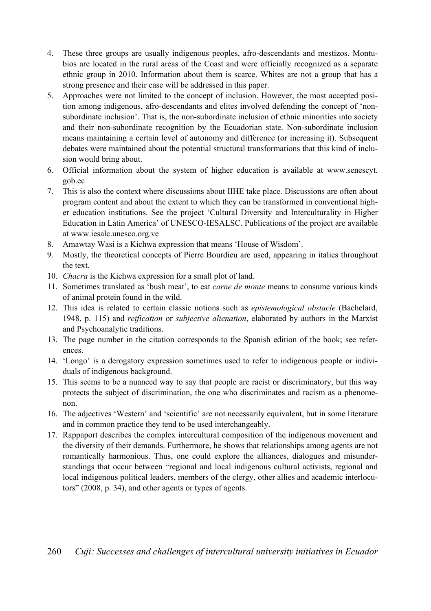- 4. These three groups are usually indigenous peoples, afro-descendants and mestizos. Montubios are located in the rural areas of the Coast and were officially recognized as a separate ethnic group in 2010. Information about them is scarce. Whites are not a group that has a strong presence and their case will be addressed in this paper.
- 5. Approaches were not limited to the concept of inclusion. However, the most accepted position among indigenous, afro-descendants and elites involved defending the concept of 'nonsubordinate inclusion'. That is, the non-subordinate inclusion of ethnic minorities into society and their non-subordinate recognition by the Ecuadorian state. Non-subordinate inclusion means maintaining a certain level of autonomy and difference (or increasing it). Subsequent debates were maintained about the potential structural transformations that this kind of inclusion would bring about.
- 6. Official information about the system of higher education is available at www.senescyt. gob.ec
- 7. This is also the context where discussions about IIHE take place. Discussions are often about program content and about the extent to which they can be transformed in conventional higher education institutions. See the project 'Cultural Diversity and Interculturality in Higher Education in Latin America' of UNESCO-IESALSC. Publications of the project are available at www.iesalc.unesco.org.ve
- 8. Amawtay Wasi is a Kichwa expression that means 'House of Wisdom'.
- 9. Mostly, the theoretical concepts of Pierre Bourdieu are used, appearing in italics throughout the text.
- 10. *Chacra* is the Kichwa expression for a small plot of land.
- 11. Sometimes translated as 'bush meat', to eat *carne de monte* means to consume various kinds of animal protein found in the wild.
- 12. This idea is related to certain classic notions such as *epistemological obstacle* (Bachelard, 1948, p. 115) and *reification* or *subjective alienation*, elaborated by authors in the Marxist and Psychoanalytic traditions.
- 13. The page number in the citation corresponds to the Spanish edition of the book; see references.
- 14. 'Longo' is a derogatory expression sometimes used to refer to indigenous people or individuals of indigenous background.
- 15. This seems to be a nuanced way to say that people are racist or discriminatory, but this way protects the subject of discrimination, the one who discriminates and racism as a phenomenon.
- 16. The adjectives 'Western' and 'scientific' are not necessarily equivalent, but in some literature and in common practice they tend to be used interchangeably.
- 17. Rappaport describes the complex intercultural composition of the indigenous movement and the diversity of their demands. Furthermore, he shows that relationships among agents are not romantically harmonious. Thus, one could explore the alliances, dialogues and misunderstandings that occur between "regional and local indigenous cultural activists, regional and local indigenous political leaders, members of the clergy, other allies and academic interlocutors" (2008, p. 34), and other agents or types of agents.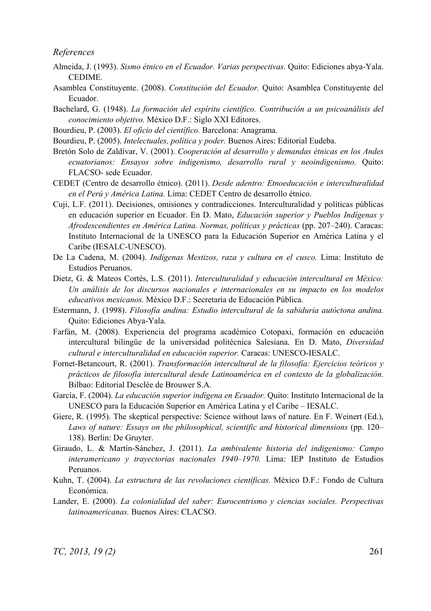*References* 

- Almeida, J. (1993). *Sismo étnico en el Ecuador. Varias perspectivas.* Quito: Ediciones abya-Yala. CEDIME.
- Asamblea Constituyente. (2008). *Constitución del Ecuador.* Quito: Asamblea Constituyente del Ecuador.
- Bachelard, G. (1948). *La formación del espíritu científico. Contribución a un psicoanálisis del conocimiento objetivo.* México D.F.: Siglo XXI Editores.
- Bourdieu, P. (2003). *El oficio del científico.* Barcelona: Anagrama.
- Bourdieu, P. (2005). *Intelectuales, política y poder.* Buenos Aires: Editorial Eudeba.
- Bretón Solo de Zaldívar, V. (2001). *Cooperación al desarrollo y demandas étnicas en los Andes ecuatorianos: Ensayos sobre indigenismo, desarrollo rural y neoindigenismo.* Quito: FLACSO- sede Ecuador.
- CEDET (Centro de desarrollo étnico). (2011). *Desde adentro: Etnoeducación e interculturalidad en el Perú y América Latina.* Lima: CEDET Centro de desarrollo étnico.
- Cuji, L.F. (2011). Decisiones, omisiones y contradicciones. Interculturalidad y políticas públicas en educación superior en Ecuador. En D. Mato, *Educación superior y Pueblos Indígenas y Afrodescendientes en América Latina. Normas, políticas y prácticas* (pp. 207–240). Caracas: Instituto Internacional de la UNESCO para la Educación Superior en América Latina y el Caribe (IESALC-UNESCO).
- De La Cadena, M. (2004). *Indígenas Mestizos, raza y cultura en el cusco.* Lima: Instituto de Estudios Peruanos.
- Dietz, G. & Mateos Cortés, L.S. (2011). *Interculturalidad y educación intercultural en México: Un análisis de los discursos nacionales e internacionales en su impacto en los modelos educativos mexicanos.* México D.F.: Secretaría de Educación Pública.
- Estermann, J. (1998). *Filosofía andina: Estudio intercultural de la sabiduria autóctona andina.* Quito: Ediciones Abya-Yala.
- Farfán, M. (2008). Experiencia del programa académico Cotopaxi, formación en educación intercultural bilingüe de la universidad politécnica Salesiana. En D. Mato, *Diversidad cultural e interculturalidad en educación superior.* Caracas: UNESCO-IESALC.
- Fornet-Betancourt, R. (2001). *Transformación intercultural de la filosofía: Ejercicios teóricos y prácticos de filosofía intercultural desde Latinoamérica en el contexto de la globalización.* Bilbao: Editorial Desclée de Brouwer S.A.
- García, F. (2004). *La educación superior indígena en Ecuador.* Quito: Instituto Internacional de la UNESCO para la Educación Superior en América Latina y el Caribe – IESALC.
- Giere, R. (1995). The skeptical perspective: Science without laws of nature. En F. Weinert (Ed.), *Laws of nature: Essays on the philosophical, scientific and historical dimensions* (pp. 120– 138). Berlin: De Gruyter.
- Giraudo, L. & Martín-Sánchez, J. (2011). *La ambivalente historia del indigenismo: Campo interamericano y trayectorias nacionales 1940–1970.* Lima: IEP Instituto de Estudios Peruanos.
- Kuhn, T. (2004). *La estructura de las revoluciones científicas.* México D.F.: Fondo de Cultura Económica.
- Lander, E. (2000). *La colonialidad del saber: Eurocentrismo y ciencias sociales. Perspectivas latinoamericanas.* Buenos Aires: CLACSO.